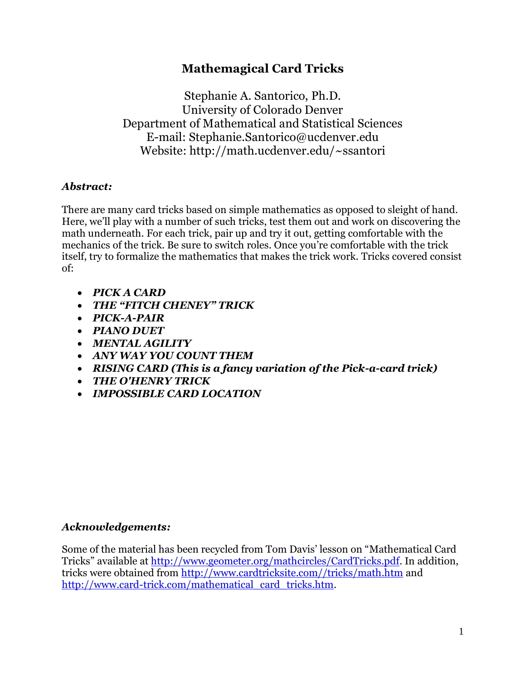# **Mathemagical Card Tricks**

Stephanie A. Santorico, Ph.D. University of Colorado Denver Department of Mathematical and Statistical Sciences E-mail: Stephanie.Santorico@ucdenver.edu Website: http://math.ucdenver.edu/~ssantori

# *Abstract:*

There are many card tricks based on simple mathematics as opposed to sleight of hand. Here, we'll play with a number of such tricks, test them out and work on discovering the math underneath. For each trick, pair up and try it out, getting comfortable with the mechanics of the trick. Be sure to switch roles. Once you're comfortable with the trick itself, try to formalize the mathematics that makes the trick work. Tricks covered consist of:

- *PICK A CARD*
- *THE "FITCH CHENEY" TRICK*
- *PICK-A-PAIR*
- *PIANO DUET*
- *MENTAL AGILITY*
- *ANY WAY YOU COUNT THEM*
- *RISING CARD (This is a fancy variation of the Pick-a-card trick)*
- *THE O'HENRY TRICK*
- *IMPOSSIBLE CARD LOCATION*

## *Acknowledgements:*

Some of the material has been recycled from Tom Davis' lesson on "Mathematical Card Tricks" available at [http://www.geometer.org/mathcircles/CardTricks.pdf.](http://www.geometer.org/mathcircles/CardTricks.pdf) In addition, tricks were obtained from [http://www.cardtricksite.com//tricks/math.htm](http://www.cardtricksite.com/tricks/math.htm) and [http://www.card-trick.com/mathematical\\_card\\_tricks.htm.](http://www.card-trick.com/mathematical_card_tricks.htm)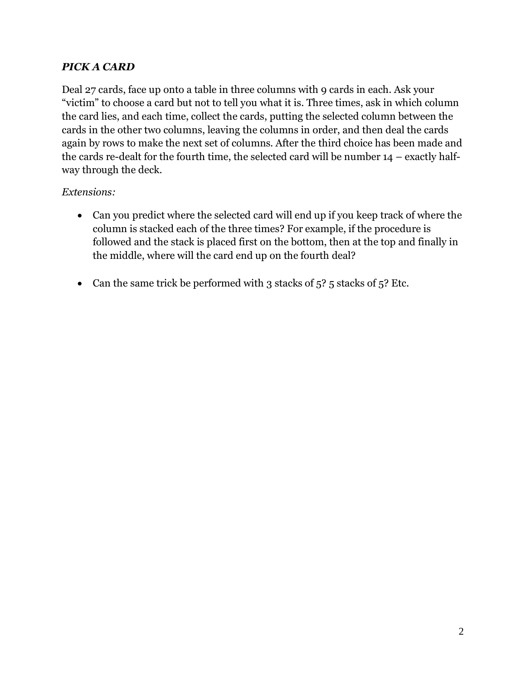# *PICK A CARD*

Deal 27 cards, face up onto a table in three columns with 9 cards in each. Ask your "victim" to choose a card but not to tell you what it is. Three times, ask in which column the card lies, and each time, collect the cards, putting the selected column between the cards in the other two columns, leaving the columns in order, and then deal the cards again by rows to make the next set of columns. After the third choice has been made and the cards re-dealt for the fourth time, the selected card will be number 14 – exactly halfway through the deck.

# *Extensions:*

- Can you predict where the selected card will end up if you keep track of where the column is stacked each of the three times? For example, if the procedure is followed and the stack is placed first on the bottom, then at the top and finally in the middle, where will the card end up on the fourth deal?
- Can the same trick be performed with 3 stacks of  $5$ ?  $5$  stacks of  $5$ ? Etc.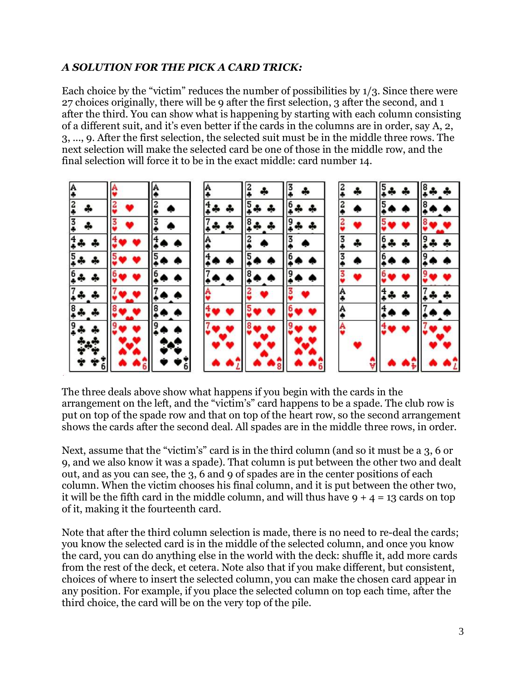## *A SOLUTION FOR THE PICK A CARD TRICK:*

Each choice by the "victim" reduces the number of possibilities by 1/3. Since there were 27 choices originally, there will be 9 after the first selection, 3 after the second, and 1 after the third. You can show what is happening by starting with each column consisting of a different suit, and it's even better if the cards in the columns are in order, say A, 2, 3, ..., 9. After the first selection, the selected suit must be in the middle three rows. The next selection will make the selected card be one of those in the middle row, and the final selection will force it to be in the exact middle: card number 14.



The three deals above show what happens if you begin with the cards in the arrangement on the left, and the "victim's" card happens to be a spade. The club row is put on top of the spade row and that on top of the heart row, so the second arrangement shows the cards after the second deal. All spades are in the middle three rows, in order.

Next, assume that the "victim's" card is in the third column (and so it must be a 3, 6 or 9, and we also know it was a spade). That column is put between the other two and dealt out, and as you can see, the 3, 6 and 9 of spades are in the center positions of each column. When the victim chooses his final column, and it is put between the other two, it will be the fifth card in the middle column, and will thus have  $9 + 4 = 13$  cards on top of it, making it the fourteenth card.

Note that after the third column selection is made, there is no need to re-deal the cards; you know the selected card is in the middle of the selected column, and once you know the card, you can do anything else in the world with the deck: shuffle it, add more cards from the rest of the deck, et cetera. Note also that if you make different, but consistent, choices of where to insert the selected column, you can make the chosen card appear in any position. For example, if you place the selected column on top each time, after the third choice, the card will be on the very top of the pile.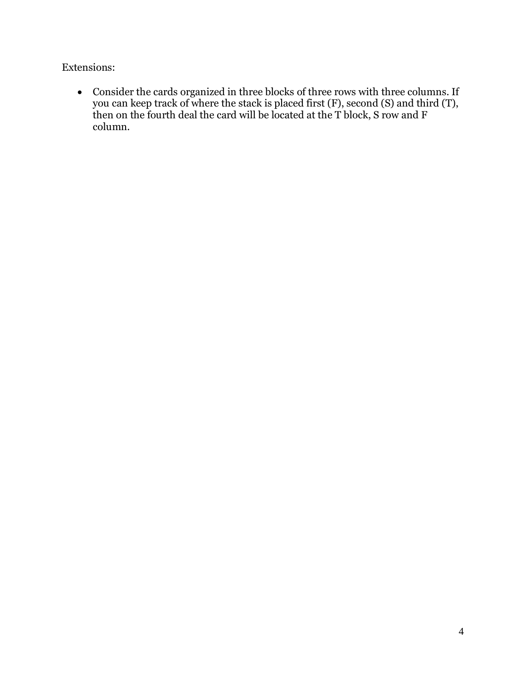Extensions:

 Consider the cards organized in three blocks of three rows with three columns. If you can keep track of where the stack is placed first (F), second (S) and third (T), then on the fourth deal the card will be located at the T block, S row and F column.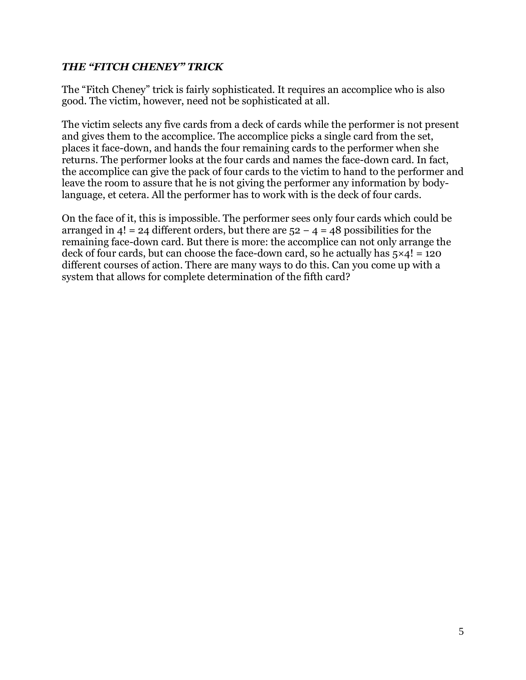#### *THE "FITCH CHENEY" TRICK*

The "Fitch Cheney" trick is fairly sophisticated. It requires an accomplice who is also good. The victim, however, need not be sophisticated at all.

The victim selects any five cards from a deck of cards while the performer is not present and gives them to the accomplice. The accomplice picks a single card from the set, places it face-down, and hands the four remaining cards to the performer when she returns. The performer looks at the four cards and names the face-down card. In fact, the accomplice can give the pack of four cards to the victim to hand to the performer and leave the room to assure that he is not giving the performer any information by bodylanguage, et cetera. All the performer has to work with is the deck of four cards.

On the face of it, this is impossible. The performer sees only four cards which could be arranged in 4! = 24 different orders, but there are 52 *−* 4 = 48 possibilities for the remaining face-down card. But there is more: the accomplice can not only arrange the deck of four cards, but can choose the face-down card, so he actually has 5*×*4! = 120 different courses of action. There are many ways to do this. Can you come up with a system that allows for complete determination of the fifth card?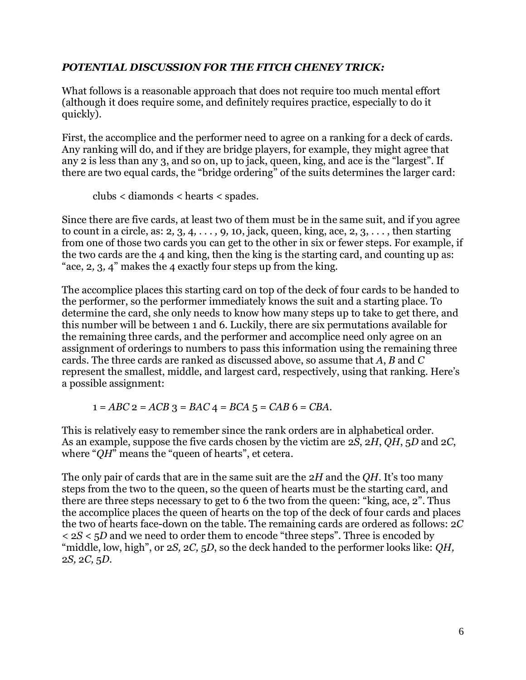#### *POTENTIAL DISCUSSION FOR THE FITCH CHENEY TRICK:*

What follows is a reasonable approach that does not require too much mental effort (although it does require some, and definitely requires practice, especially to do it quickly).

First, the accomplice and the performer need to agree on a ranking for a deck of cards. Any ranking will do, and if they are bridge players, for example, they might agree that any 2 is less than any 3, and so on, up to jack, queen, king, and ace is the "largest". If there are two equal cards, the "bridge ordering" of the suits determines the larger card:

clubs *<* diamonds *<* hearts *<* spades*.*

Since there are five cards, at least two of them must be in the same suit, and if you agree to count in a circle, as: 2*,* 3*,* 4*, . . . ,* 9*,* 10, jack, queen, king, ace, 2, 3, . . . , then starting from one of those two cards you can get to the other in six or fewer steps. For example, if the two cards are the 4 and king, then the king is the starting card, and counting up as: "ace, 2*,* 3*,* 4" makes the 4 exactly four steps up from the king.

The accomplice places this starting card on top of the deck of four cards to be handed to the performer, so the performer immediately knows the suit and a starting place. To determine the card, she only needs to know how many steps up to take to get there, and this number will be between 1 and 6. Luckily, there are six permutations available for the remaining three cards, and the performer and accomplice need only agree on an assignment of orderings to numbers to pass this information using the remaining three cards. The three cards are ranked as discussed above, so assume that *A*, *B* and *C*  represent the smallest, middle, and largest card, respectively, using that ranking. Here's a possible assignment:

1 = *ABC* 2 = *ACB* 3 = *BAC* 4 = *BCA* 5 = *CAB* 6 = *CBA.*

This is relatively easy to remember since the rank orders are in alphabetical order. As an example, suppose the five cards chosen by the victim are 2*S*, 2*H*, *QH*, 5*D* and 2*C*, where "*QH*" means the "queen of hearts", et cetera.

The only pair of cards that are in the same suit are the 2*H* and the *QH*. It's too many steps from the two to the queen, so the queen of hearts must be the starting card, and there are three steps necessary to get to 6 the two from the queen: "king, ace, 2". Thus the accomplice places the queen of hearts on the top of the deck of four cards and places the two of hearts face-down on the table. The remaining cards are ordered as follows: 2*C <* 2*S <* 5*D* and we need to order them to encode "three steps". Three is encoded by "middle, low, high", or 2*S,* 2*C,* 5*D*, so the deck handed to the performer looks like: *QH,*  2*S,* 2*C,* 5*D*.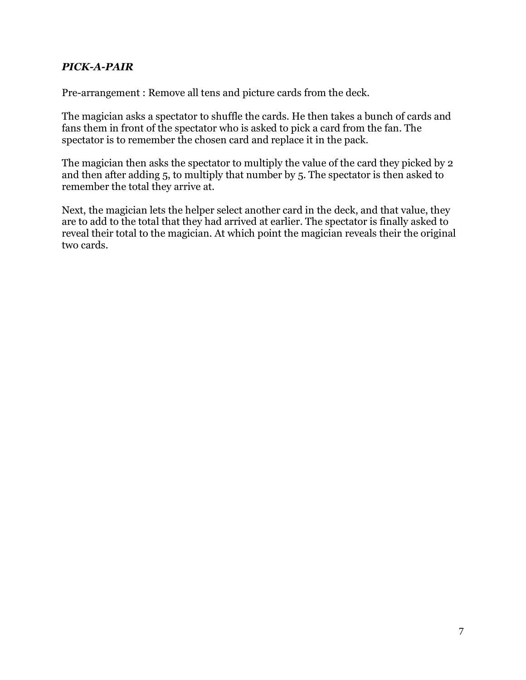#### *PICK-A-PAIR*

Pre-arrangement : Remove all tens and picture cards from the deck.

The magician asks a spectator to shuffle the cards. He then takes a bunch of cards and fans them in front of the spectator who is asked to pick a card from the fan. The spectator is to remember the chosen card and replace it in the pack.

The magician then asks the spectator to multiply the value of the card they picked by 2 and then after adding 5, to multiply that number by 5. The spectator is then asked to remember the total they arrive at.

Next, the magician lets the helper select another card in the deck, and that value, they are to add to the total that they had arrived at earlier. The spectator is finally asked to reveal their total to the magician. At which point the magician reveals their the original two cards.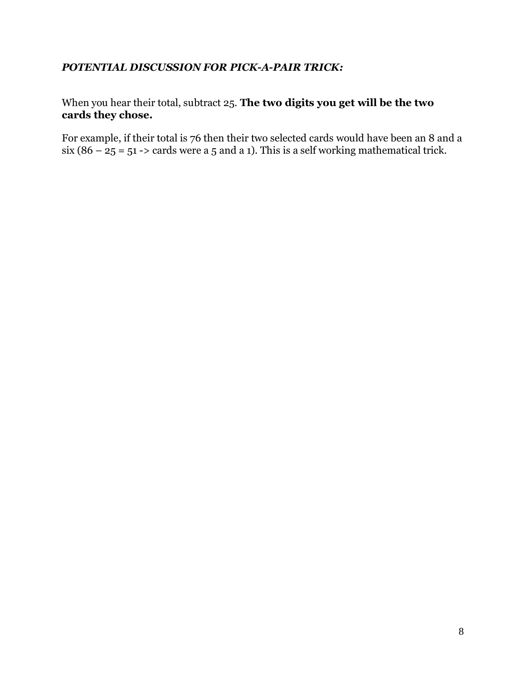## *POTENTIAL DISCUSSION FOR PICK-A-PAIR TRICK:*

# When you hear their total, subtract 25. **The two digits you get will be the two cards they chose.**

For example, if their total is 76 then their two selected cards would have been an 8 and a six  $(86 - 25 = 51$  -> cards were a 5 and a 1). This is a self working mathematical trick.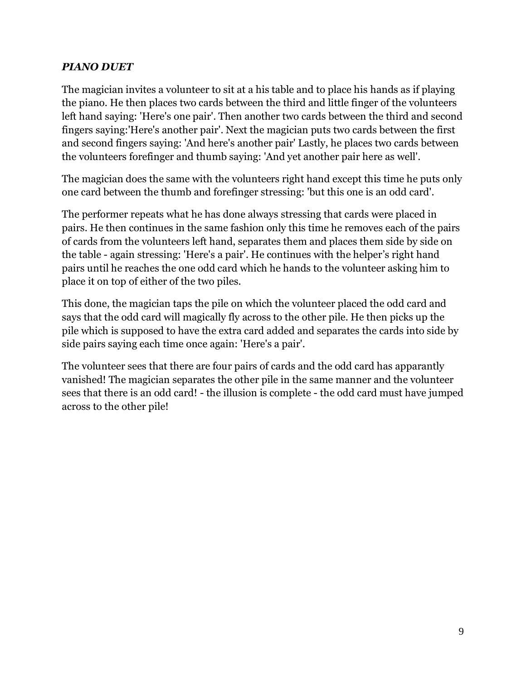## *PIANO DUET*

The magician invites a volunteer to sit at a his table and to place his hands as if playing the piano. He then places two cards between the third and little finger of the volunteers left hand saying: 'Here's one pair'. Then another two cards between the third and second fingers saying:'Here's another pair'. Next the magician puts two cards between the first and second fingers saying: 'And here's another pair' Lastly, he places two cards between the volunteers forefinger and thumb saying: 'And yet another pair here as well'.

The magician does the same with the volunteers right hand except this time he puts only one card between the thumb and forefinger stressing: 'but this one is an odd card'.

The performer repeats what he has done always stressing that cards were placed in pairs. He then continues in the same fashion only this time he removes each of the pairs of cards from the volunteers left hand, separates them and places them side by side on the table - again stressing: 'Here's a pair'. He continues with the helper's right hand pairs until he reaches the one odd card which he hands to the volunteer asking him to place it on top of either of the two piles.

This done, the magician taps the pile on which the volunteer placed the odd card and says that the odd card will magically fly across to the other pile. He then picks up the pile which is supposed to have the extra card added and separates the cards into side by side pairs saying each time once again: 'Here's a pair'.

The volunteer sees that there are four pairs of cards and the odd card has apparantly vanished! The magician separates the other pile in the same manner and the volunteer sees that there is an odd card! - the illusion is complete - the odd card must have jumped across to the other pile!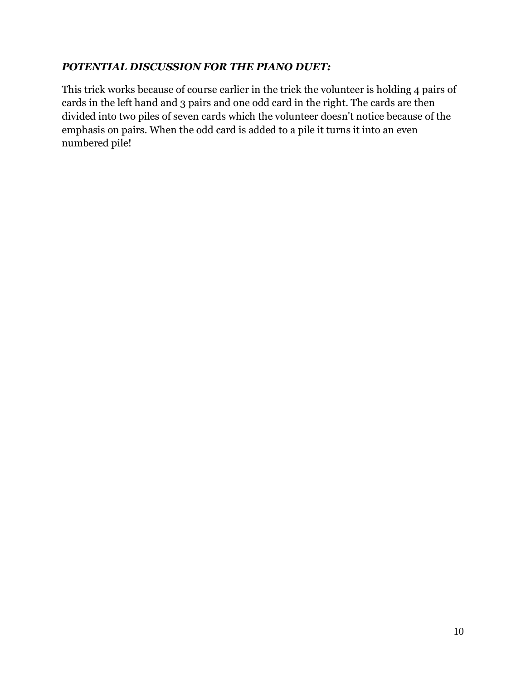## *POTENTIAL DISCUSSION FOR THE PIANO DUET:*

This trick works because of course earlier in the trick the volunteer is holding 4 pairs of cards in the left hand and 3 pairs and one odd card in the right. The cards are then divided into two piles of seven cards which the volunteer doesn't notice because of the emphasis on pairs. When the odd card is added to a pile it turns it into an even numbered pile!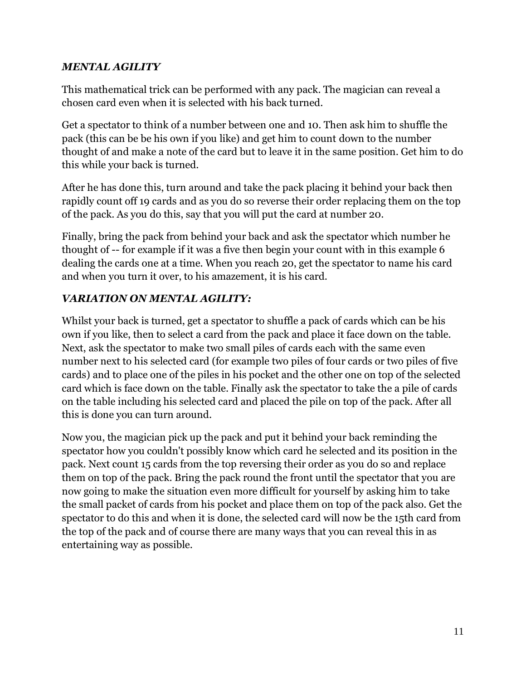## *MENTAL AGILITY*

This mathematical trick can be performed with any pack. The magician can reveal a chosen card even when it is selected with his back turned.

Get a spectator to think of a number between one and 10. Then ask him to shuffle the pack (this can be be his own if you like) and get him to count down to the number thought of and make a note of the card but to leave it in the same position. Get him to do this while your back is turned.

After he has done this, turn around and take the pack placing it behind your back then rapidly count off 19 cards and as you do so reverse their order replacing them on the top of the pack. As you do this, say that you will put the card at number 20.

Finally, bring the pack from behind your back and ask the spectator which number he thought of -- for example if it was a five then begin your count with in this example 6 dealing the cards one at a time. When you reach 20, get the spectator to name his card and when you turn it over, to his amazement, it is his card.

# *VARIATION ON MENTAL AGILITY:*

Whilst your back is turned, get a spectator to shuffle a pack of cards which can be his own if you like, then to select a card from the pack and place it face down on the table. Next, ask the spectator to make two small piles of cards each with the same even number next to his selected card (for example two piles of four cards or two piles of five cards) and to place one of the piles in his pocket and the other one on top of the selected card which is face down on the table. Finally ask the spectator to take the a pile of cards on the table including his selected card and placed the pile on top of the pack. After all this is done you can turn around.

Now you, the magician pick up the pack and put it behind your back reminding the spectator how you couldn't possibly know which card he selected and its position in the pack. Next count 15 cards from the top reversing their order as you do so and replace them on top of the pack. Bring the pack round the front until the spectator that you are now going to make the situation even more difficult for yourself by asking him to take the small packet of cards from his pocket and place them on top of the pack also. Get the spectator to do this and when it is done, the selected card will now be the 15th card from the top of the pack and of course there are many ways that you can reveal this in as entertaining way as possible.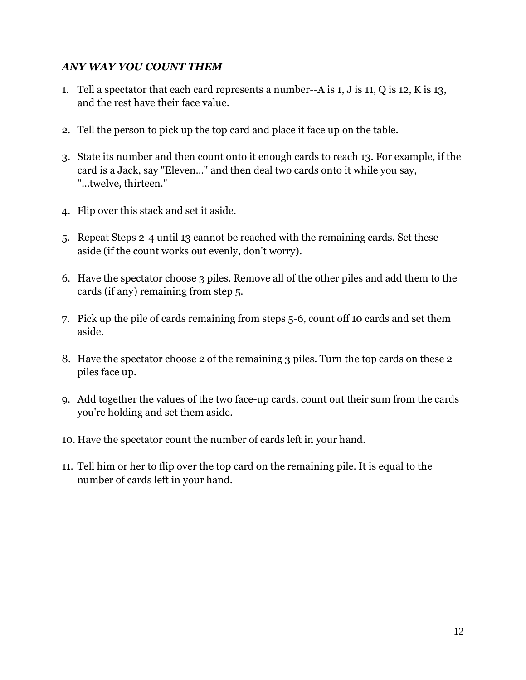## *ANY WAY YOU COUNT THEM*

- 1. Tell a spectator that each card represents a number--A is 1, J is 11, Q is 12, K is 13, and the rest have their face value.
- 2. Tell the person to pick up the top card and place it face up on the table.
- 3. State its number and then count onto it enough cards to reach 13. For example, if the card is a Jack, say "Eleven..." and then deal two cards onto it while you say, "...twelve, thirteen."
- 4. Flip over this stack and set it aside.
- 5. Repeat Steps 2-4 until 13 cannot be reached with the remaining cards. Set these aside (if the count works out evenly, don't worry).
- 6. Have the spectator choose 3 piles. Remove all of the other piles and add them to the cards (if any) remaining from step 5.
- 7. Pick up the pile of cards remaining from steps 5-6, count off 10 cards and set them aside.
- 8. Have the spectator choose 2 of the remaining 3 piles. Turn the top cards on these 2 piles face up.
- 9. Add together the values of the two face-up cards, count out their sum from the cards you're holding and set them aside.
- 10. Have the spectator count the number of cards left in your hand.
- 11. Tell him or her to flip over the top card on the remaining pile. It is equal to the number of cards left in your hand.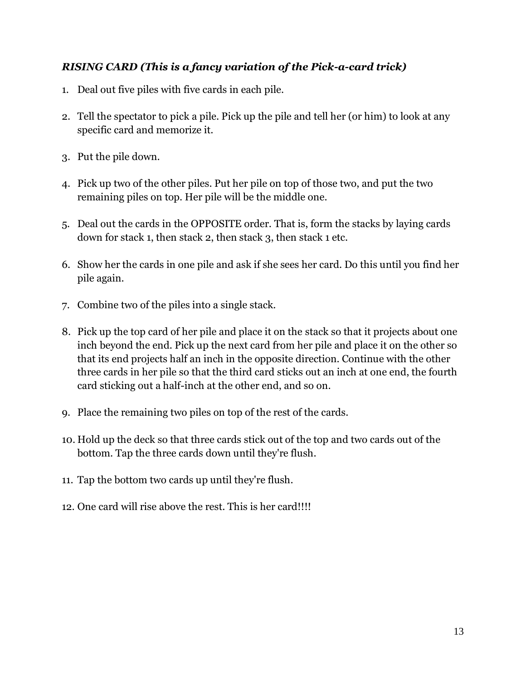# *RISING CARD (This is a fancy variation of the Pick-a-card trick)*

- 1. Deal out five piles with five cards in each pile.
- 2. Tell the spectator to pick a pile. Pick up the pile and tell her (or him) to look at any specific card and memorize it.
- 3. Put the pile down.
- 4. Pick up two of the other piles. Put her pile on top of those two, and put the two remaining piles on top. Her pile will be the middle one.
- 5. Deal out the cards in the OPPOSITE order. That is, form the stacks by laying cards down for stack 1, then stack 2, then stack 3, then stack 1 etc.
- 6. Show her the cards in one pile and ask if she sees her card. Do this until you find her pile again.
- 7. Combine two of the piles into a single stack.
- 8. Pick up the top card of her pile and place it on the stack so that it projects about one inch beyond the end. Pick up the next card from her pile and place it on the other so that its end projects half an inch in the opposite direction. Continue with the other three cards in her pile so that the third card sticks out an inch at one end, the fourth card sticking out a half-inch at the other end, and so on.
- 9. Place the remaining two piles on top of the rest of the cards.
- 10. Hold up the deck so that three cards stick out of the top and two cards out of the bottom. Tap the three cards down until they're flush.
- 11. Tap the bottom two cards up until they're flush.
- 12. One card will rise above the rest. This is her card!!!!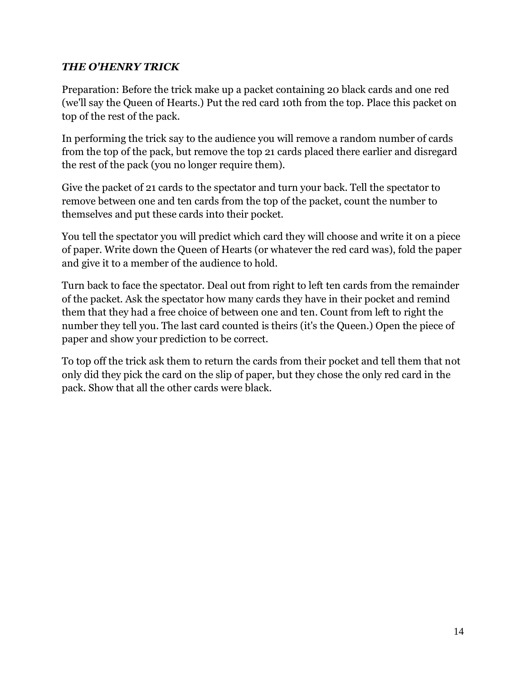## *THE O'HENRY TRICK*

Preparation: Before the trick make up a packet containing 20 black cards and one red (we'll say the Queen of Hearts.) Put the red card 10th from the top. Place this packet on top of the rest of the pack.

In performing the trick say to the audience you will remove a random number of cards from the top of the pack, but remove the top 21 cards placed there earlier and disregard the rest of the pack (you no longer require them).

Give the packet of 21 cards to the spectator and turn your back. Tell the spectator to remove between one and ten cards from the top of the packet, count the number to themselves and put these cards into their pocket.

You tell the spectator you will predict which card they will choose and write it on a piece of paper. Write down the Queen of Hearts (or whatever the red card was), fold the paper and give it to a member of the audience to hold.

Turn back to face the spectator. Deal out from right to left ten cards from the remainder of the packet. Ask the spectator how many cards they have in their pocket and remind them that they had a free choice of between one and ten. Count from left to right the number they tell you. The last card counted is theirs (it's the Queen.) Open the piece of paper and show your prediction to be correct.

To top off the trick ask them to return the cards from their pocket and tell them that not only did they pick the card on the slip of paper, but they chose the only red card in the pack. Show that all the other cards were black.